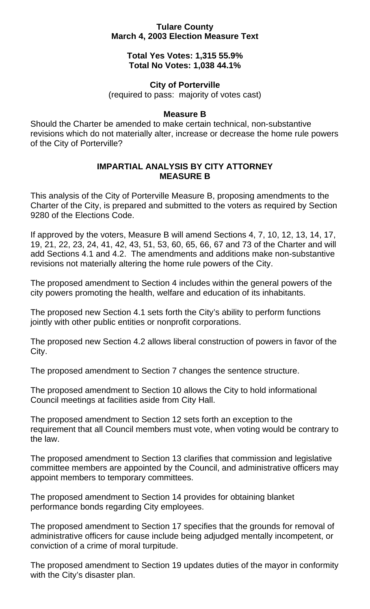## **Tulare County March 4, 2003 Election Measure Text**

## **Total Yes Votes: 1,315 55.9% Total No Votes: 1,038 44.1%**

# **City of Porterville**

(required to pass: majority of votes cast)

## **Measure B**

Should the Charter be amended to make certain technical, non-substantive revisions which do not materially alter, increase or decrease the home rule powers of the City of Porterville?

# **IMPARTIAL ANALYSIS BY CITY ATTORNEY MEASURE B**

This analysis of the City of Porterville Measure B, proposing amendments to the Charter of the City, is prepared and submitted to the voters as required by Section 9280 of the Elections Code.

If approved by the voters, Measure B will amend Sections 4, 7, 10, 12, 13, 14, 17, 19, 21, 22, 23, 24, 41, 42, 43, 51, 53, 60, 65, 66, 67 and 73 of the Charter and will add Sections 4.1 and 4.2. The amendments and additions make non-substantive revisions not materially altering the home rule powers of the City.

The proposed amendment to Section 4 includes within the general powers of the city powers promoting the health, welfare and education of its inhabitants.

The proposed new Section 4.1 sets forth the City's ability to perform functions jointly with other public entities or nonprofit corporations.

The proposed new Section 4.2 allows liberal construction of powers in favor of the City.

The proposed amendment to Section 7 changes the sentence structure.

The proposed amendment to Section 10 allows the City to hold informational Council meetings at facilities aside from City Hall.

The proposed amendment to Section 12 sets forth an exception to the requirement that all Council members must vote, when voting would be contrary to the law.

The proposed amendment to Section 13 clarifies that commission and legislative committee members are appointed by the Council, and administrative officers may appoint members to temporary committees.

The proposed amendment to Section 14 provides for obtaining blanket performance bonds regarding City employees.

The proposed amendment to Section 17 specifies that the grounds for removal of administrative officers for cause include being adjudged mentally incompetent, or conviction of a crime of moral turpitude.

The proposed amendment to Section 19 updates duties of the mayor in conformity with the City's disaster plan.